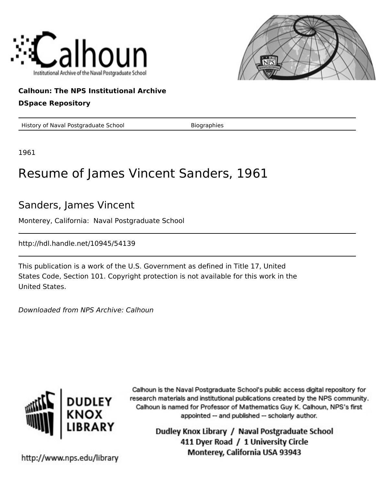



## **Calhoun: The NPS Institutional Archive**

### **DSpace Repository**

History of Naval Postgraduate School Biographies

1961

# Resume of James Vincent Sanders, 1961

## Sanders, James Vincent

Monterey, California: Naval Postgraduate School

http://hdl.handle.net/10945/54139

This publication is a work of the U.S. Government as defined in Title 17, United States Code, Section 101. Copyright protection is not available for this work in the United States.

Downloaded from NPS Archive: Calhoun



Calhoun is the Naval Postgraduate School's public access digital repository for research materials and institutional publications created by the NPS community. Calhoun is named for Professor of Mathematics Guy K. Calhoun, NPS's first appointed -- and published -- scholarly author.

> Dudley Knox Library / Naval Postgraduate School 411 Dyer Road / 1 University Circle Monterey, California USA 93943

http://www.nps.edu/library